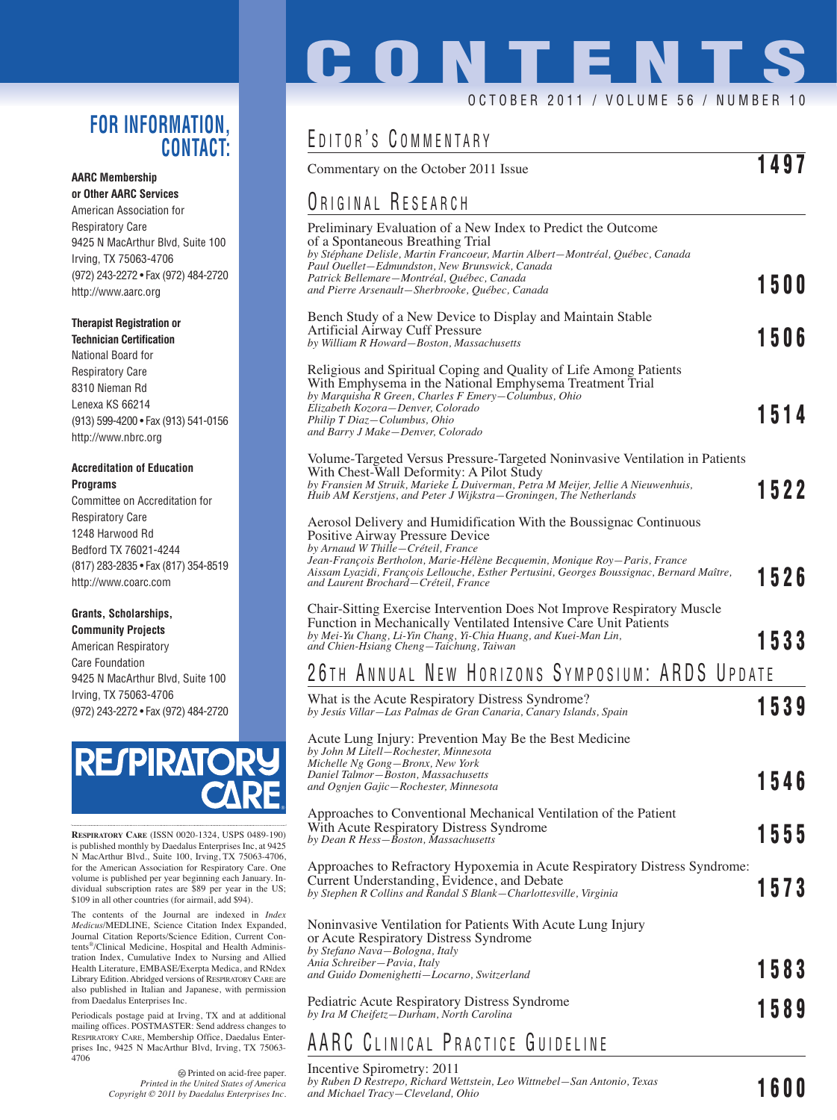#### **FOR INFORMATION, CONTACT:**

#### **AARC Membership**

**or Other AARC Services** American Association for Respiratory Care 9425 N MacArthur Blvd, Suite 100 Irving, TX 75063-4706 (972) 243-2272 • Fax (972) 484-2720 http://www.aarc.org

#### **Therapist Registration or**

**Technician Certification** National Board for Respiratory Care 8310 Nieman Rd Lenexa KS 66214 (913) 599-4200 • Fax (913) 541-0156 http://www.nbrc.org

#### **Accreditation of Education Programs**

Committee on Accreditation for Respiratory Care 1248 Harwood Rd Bedford TX 76021-4244 (817) 283-2835 • Fax (817) 354-8519 http://www.coarc.com

#### **Grants, Scholarships, Community Projects**

American Respiratory Care Foundation 9425 N MacArthur Blvd, Suite 100 Irving, TX 75063-4706 (972) 243-2272 • Fax (972) 484-2720



**RESPIRATORY CARE** (ISSN 0020-1324, USPS 0489-190) is published monthly by Daedalus Enterprises Inc, at 9425 N MacArthur Blvd., Suite 100, Irving, TX 75063-4706, for the American Association for Respiratory Care. One volume is published per year beginning each January. In-dividual subscription rates are \$89 per year in the US; \$109 in all other countries (for airmail, add \$94).

The contents of the Journal are indexed in *Index Medicus*/MEDLINE, Science Citation Index Expanded, Journal Citation Reports/Science Edition, Current Contents®/Clinical Medicine, Hospital and Health Administration Index, Cumulative Index to Nursing and Allied Health Literature, EMBASE/Exerpta Medica, and RNdex Library Edition. Abridged versions of RESPIRATORY CARE are also published in Italian and Japanese, with permission from Daedalus Enterprises Inc.

Periodicals postage paid at Irving, TX and at additional mailing offices. POSTMASTER: Send address changes to RESPIRATORY CARE, Membership Office, Daedalus Enterprises Inc, 9425 N MacArthur Blvd, Irving, TX 75063- 4706

> Printed on acid-free paper. *Printed in the United States of America Copyright © 2011 by Daedalus Enterprises Inc.*

# **CONTENTS**

#### OCTOBER 2011 / VOLUME 56 / NUMBER

## E DITOR ' S C OMMENTARY

| EDITOR'S COMMENTARY                                                                                                                                                                                                                                                                                                                                            |  |      |
|----------------------------------------------------------------------------------------------------------------------------------------------------------------------------------------------------------------------------------------------------------------------------------------------------------------------------------------------------------------|--|------|
| Commentary on the October 2011 Issue                                                                                                                                                                                                                                                                                                                           |  | 1497 |
| ORIGINAL RESEARCH                                                                                                                                                                                                                                                                                                                                              |  |      |
| Preliminary Evaluation of a New Index to Predict the Outcome<br>of a Spontaneous Breathing Trial<br>by Stéphane Delisle, Martin Francoeur, Martin Albert-Montréal, Québec, Canada<br>Paul Ouellet-Edmundston, New Brunswick, Canada                                                                                                                            |  |      |
| Patrick Bellemare-Montréal, Québec, Canada<br>and Pierre Arsenault-Sherbrooke, Québec, Canada                                                                                                                                                                                                                                                                  |  | 1500 |
| Bench Study of a New Device to Display and Maintain Stable<br>Artificial Airway Cuff Pressure<br>by William R Howard-Boston, Massachusetts                                                                                                                                                                                                                     |  | 1506 |
| Religious and Spiritual Coping and Quality of Life Among Patients<br>With Emphysema in the National Emphysema Treatment Trial<br>by Marquisha R Green, Charles F Emery-Columbus, Ohio<br>Elizabeth Kozora-Denver, Colorado<br>Philip T Diaz-Columbus, Ohio<br>and Barry J Make-Denver, Colorado                                                                |  | 1514 |
| Volume-Targeted Versus Pressure-Targeted Noninvasive Ventilation in Patients<br>With Chest-Wall Deformity: A Pilot Study<br>by Fransien M Struik, Marieke L Duiverman, Petra M Meijer, Jellie A Nieuwenhuis,<br>Huib AM Kerstjens, and Peter J Wijkstra–Groningen, The Netherlands                                                                             |  | 1522 |
| Aerosol Delivery and Humidification With the Boussignac Continuous<br>Positive Airway Pressure Device<br>by Arnaud W Thille-Créteil, France<br>Jean-François Bertholon, Marie-Hélène Becquemin, Monique Roy-Paris, France<br>Aissam Lyazidi, François Lellouche, Esther Pertusini, Georges Boussignac, Bernard Maître,<br>and Laurent Brochard-Créteil, France |  | 1526 |
| <b>Chair-Sitting Exercise Intervention Does Not Improve Respiratory Muscle</b><br>Function in Mechanically Ventilated Intensive Care Unit Patients<br>by Mei-Yu Chang, Li-Yin Chang, Yi-Chia Huang, and Kuei-Man Lin,<br>and Chien-Hsiang Cheng-Taichung, Taiwan                                                                                               |  | 1533 |

# 26 TH ANNUAL NEW HORIZONS SYMPOSIUM: ARDS UPDATE

| What is the Acute Respiratory Distress Syndrome?<br>by Jesús Villar—Las Palmas de Gran Canaria, Canary Islands, Spain                                                                          |  | 1539 |
|------------------------------------------------------------------------------------------------------------------------------------------------------------------------------------------------|--|------|
| Acute Lung Injury: Prevention May Be the Best Medicine<br>by John M Litell-Rochester, Minnesota<br>Michelle Ng Gong-Bronx, New York<br>Daniel Talmor-Boston, Massachusetts                     |  |      |
| and Ognjen Gajic-Rochester, Minnesota                                                                                                                                                          |  | 1546 |
| Approaches to Conventional Mechanical Ventilation of the Patient<br>With Acute Respiratory Distress Syndrome<br>by Dean R Hess-Boston, Massachusetts                                           |  | 1555 |
| Approaches to Refractory Hypoxemia in Acute Respiratory Distress Syndrome:<br>Current Understanding, Evidence, and Debate<br>by Stephen R Collins and Randal S Blank-Charlottesville, Virginia |  | 1573 |
| Noninvasive Ventilation for Patients With Acute Lung Injury<br>or Acute Respiratory Distress Syndrome<br>by Stefano Nava-Bologna, Italy                                                        |  |      |
| Ania Schreiber-Pavia, Italy<br>and Guido Domenighetti-Locarno, Switzerland                                                                                                                     |  | 1583 |
| <b>Pediatric Acute Respiratory Distress Syndrome</b><br>by Ira M Cheifetz-Durham, North Carolina                                                                                               |  | 1589 |
|                                                                                                                                                                                                |  |      |

## AARC C LINICAL P RACTICE G UIDELINE

#### Incentive Spirometry: 2011

*by Ruben D Restrepo, Richard Wettstein, Leo Wittnebel—San Antonio, Texas by Ruben D Restrepo, Richard Wettstein, Leo Wittnebel—San Antonio, Texas* **1600**